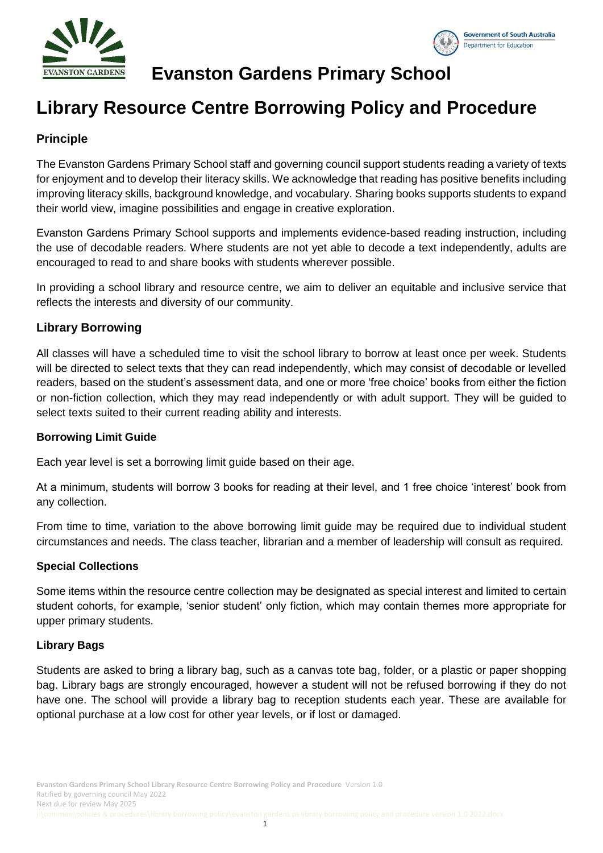

## **Evanston Gardens Primary School**

# **Library Resource Centre Borrowing Policy and Procedure**

## **Principle**

The Evanston Gardens Primary School staff and governing council support students reading a variety of texts for enjoyment and to develop their literacy skills. We acknowledge that reading has positive benefits including improving literacy skills, background knowledge, and vocabulary. Sharing books supports students to expand their world view, imagine possibilities and engage in creative exploration.

Evanston Gardens Primary School supports and implements evidence-based reading instruction, including the use of decodable readers. Where students are not yet able to decode a text independently, adults are encouraged to read to and share books with students wherever possible.

In providing a school library and resource centre, we aim to deliver an equitable and inclusive service that reflects the interests and diversity of our community.

### **Library Borrowing**

All classes will have a scheduled time to visit the school library to borrow at least once per week. Students will be directed to select texts that they can read independently, which may consist of decodable or levelled readers, based on the student's assessment data, and one or more 'free choice' books from either the fiction or non-fiction collection, which they may read independently or with adult support. They will be guided to select texts suited to their current reading ability and interests.

#### **Borrowing Limit Guide**

Each year level is set a borrowing limit guide based on their age.

At a minimum, students will borrow 3 books for reading at their level, and 1 free choice 'interest' book from any collection.

From time to time, variation to the above borrowing limit guide may be required due to individual student circumstances and needs. The class teacher, librarian and a member of leadership will consult as required.

#### **Special Collections**

Some items within the resource centre collection may be designated as special interest and limited to certain student cohorts, for example, 'senior student' only fiction, which may contain themes more appropriate for upper primary students.

#### **Library Bags**

Students are asked to bring a library bag, such as a canvas tote bag, folder, or a plastic or paper shopping bag. Library bags are strongly encouraged, however a student will not be refused borrowing if they do not have one. The school will provide a library bag to reception students each year. These are available for optional purchase at a low cost for other year levels, or if lost or damaged.